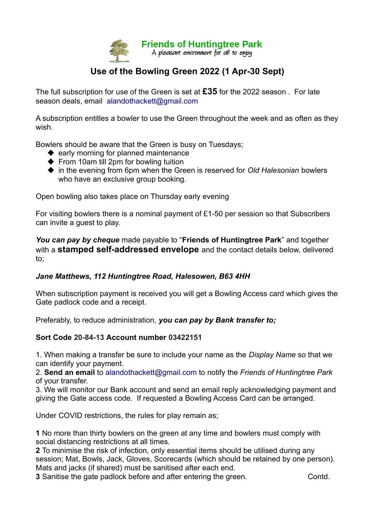

## **Use of the Bowling Green 2022 (1 Apr-30 Sept)**

The full subscription for use of the Green is set at **£35** for the 2022 season . For late season deals, email alandothackett@gmail.com

A subscription entitles a bowler to use the Green throughout the week and as often as they wish.

Bowlers should be aware that the Green is busy on Tuesdays;

- $\blacklozenge$  early morning for planned maintenance
- $\blacklozenge$  From 10am till 2pm for bowling tuition
- ◆ in the evening from 6pm when the Green is reserved for *Old Halesonian* bowlers who have an exclusive group booking.

Open bowling also takes place on Thursday early evening

For visiting bowlers there is a nominal payment of £1-50 per session so that Subscribers can invite a guest to play.

*You can pay by cheque* made payable to "**Friends of Huntingtree Park**" and together with a **stamped self-addressed envelope** and the contact details below, delivered to;

## *Jane Matthews, 112 Huntingtree Road, Halesowen, B63 4HH*

When subscription payment is received you will get a Bowling Access card which gives the Gate padlock code and a receipt.

Preferably, to reduce administration, *you can pay by Bank transfer to;*

## **Sort Code 20-84-13 Account number 03422151**

1. When making a transfer be sure to include your name as the *Display Name* so that we can identify your payment.

2. **Send an email** to alandothackett@gmail.com to notify the *Friends of Huntingtree Park*  of your transfer.

3. We will monitor our Bank account and send an email reply acknowledging payment and giving the Gate access code. If requested a Bowling Access Card can be arranged.

Under COVID restrictions, the rules for play remain as;

**1** No more than thirty bowlers on the green at any time and bowlers must comply with social distancing restrictions at all times.

**2** To minimise the risk of infection, only essential items should be utilised during any session; Mat, Bowls, Jack, Gloves, Scorecards (which should be retained by one person). Mats and jacks (if shared) must be sanitised after each end.

**3** Sanitise the gate padlock before and after entering the green. Contd.